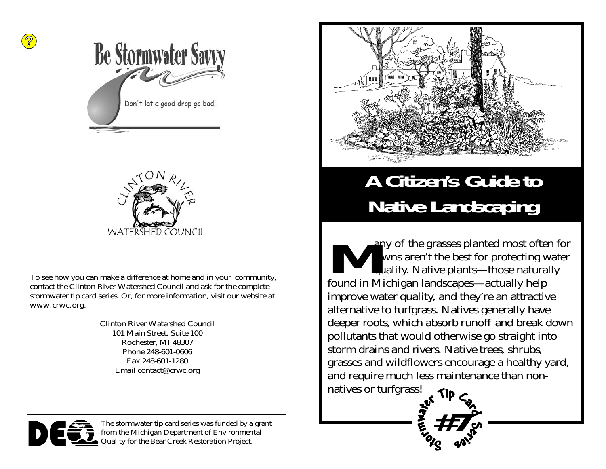



To see how you can make a difference at home and in your community, contact the Clinton River Watershed Council and ask for the complete stormwater tip card series. Or, for more information, visit our website at www.crwc.org.

> Clinton River Watershed Council 101 Main Street, Suite 100 Rochester, MI 48307 Phone 248-601-0606 Fax 248-601-1280 Email contact@crwc.org



The stormwater tip card series was funded by a grant from the Michigan Department of Environmental Quality for the Bear Creek Restoration Project.



# **A Citizen's Guide to Native Landscaping**

any of the grasses planted most often for lawns aren't the best for protecting water quality. Native plants—those naturally found in Michigan landscapes—actually help improve water quality, and they're an attractive alternative to turfgrass. Natives generally have deeper roots, which absorb runoff and break down pollutants that would otherwise go straight into storm drains and rivers. Native trees, shrubs, grasses and wildflowers encourage a healthy yard, and require much less maintenance than nonnatives or turfgrass!

**#7**